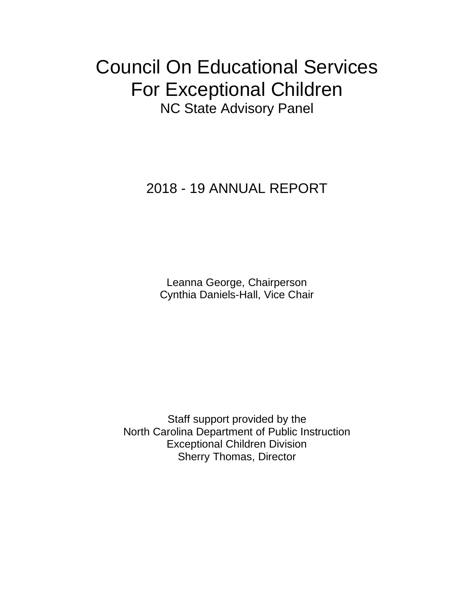# Council On Educational Services For Exceptional Children NC State Advisory Panel

### 2018 - 19 ANNUAL REPORT

Leanna George, Chairperson Cynthia Daniels-Hall, Vice Chair

Staff support provided by the North Carolina Department of Public Instruction Exceptional Children Division Sherry Thomas, Director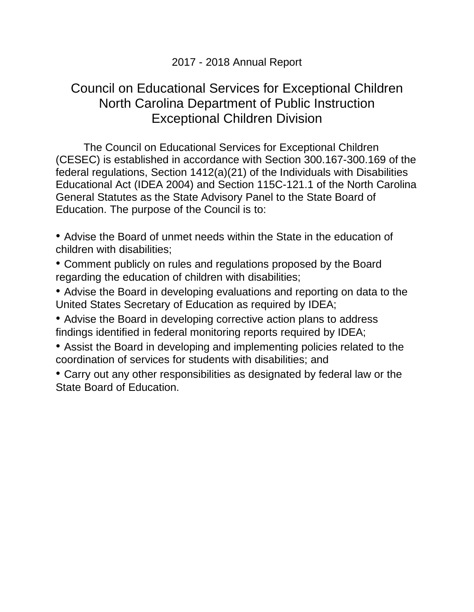#### 2017 - 2018 Annual Report

#### Council on Educational Services for Exceptional Children North Carolina Department of Public Instruction Exceptional Children Division

The Council on Educational Services for Exceptional Children (CESEC) is established in accordance with Section 300.167-300.169 of the federal regulations, Section 1412(a)(21) of the Individuals with Disabilities Educational Act (IDEA 2004) and Section 115C-121.1 of the North Carolina General Statutes as the State Advisory Panel to the State Board of Education. The purpose of the Council is to:

• Advise the Board of unmet needs within the State in the education of children with disabilities;

• Comment publicly on rules and regulations proposed by the Board regarding the education of children with disabilities;

• Advise the Board in developing evaluations and reporting on data to the United States Secretary of Education as required by IDEA;

• Advise the Board in developing corrective action plans to address findings identified in federal monitoring reports required by IDEA;

• Assist the Board in developing and implementing policies related to the coordination of services for students with disabilities; and

• Carry out any other responsibilities as designated by federal law or the State Board of Education.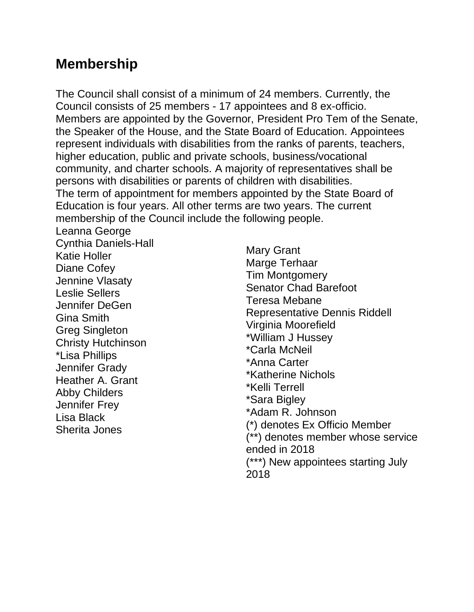### **Membership**

The Council shall consist of a minimum of 24 members. Currently, the Council consists of 25 members - 17 appointees and 8 ex-officio. Members are appointed by the Governor, President Pro Tem of the Senate, the Speaker of the House, and the State Board of Education. Appointees represent individuals with disabilities from the ranks of parents, teachers, higher education, public and private schools, business/vocational community, and charter schools. A majority of representatives shall be persons with disabilities or parents of children with disabilities. The term of appointment for members appointed by the State Board of Education is four years. All other terms are two years. The current membership of the Council include the following people.

Leanna George Cynthia Daniels-Hall Katie Holler Diane Cofey Jennine Vlasaty Leslie Sellers Jennifer DeGen Gina Smith Greg Singleton Christy Hutchinson \*Lisa Phillips Jennifer Grady Heather A. Grant Abby Childers Jennifer Frey Lisa Black Sherita Jones

Mary Grant Marge Terhaar Tim Montgomery Senator Chad Barefoot Teresa Mebane Representative Dennis Riddell Virginia Moorefield \*William J Hussey \*Carla McNeil \*Anna Carter \*Katherine Nichols \*Kelli Terrell \*Sara Bigley \*Adam R. Johnson (\*) denotes Ex Officio Member (\*\*) denotes member whose service ended in 2018 (\*\*\*) New appointees starting July 2018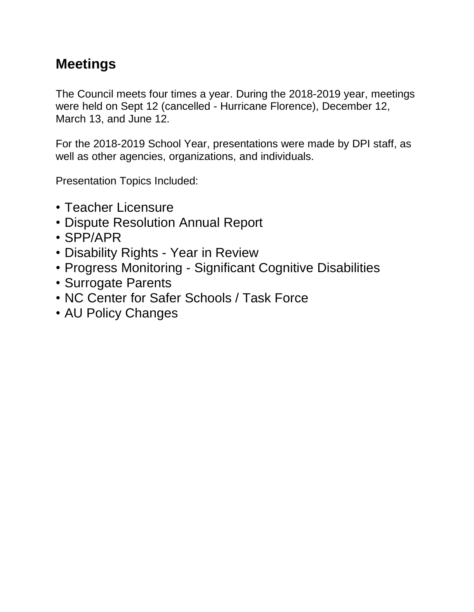# **Meetings**

The Council meets four times a year. During the 2018-2019 year, meetings were held on Sept 12 (cancelled - Hurricane Florence), December 12, March 13, and June 12.

For the 2018-2019 School Year, presentations were made by DPI staff, as well as other agencies, organizations, and individuals.

Presentation Topics Included:

- Teacher Licensure
- Dispute Resolution Annual Report
- SPP/APR
- Disability Rights Year in Review
- Progress Monitoring Significant Cognitive Disabilities
- Surrogate Parents
- NC Center for Safer Schools / Task Force
- AU Policy Changes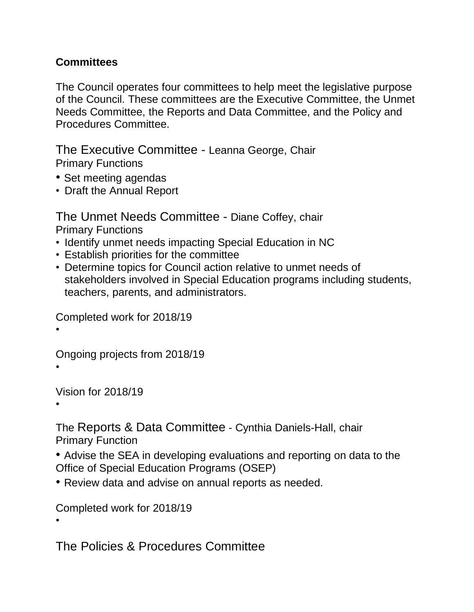#### **Committees**

The Council operates four committees to help meet the legislative purpose of the Council. These committees are the Executive Committee, the Unmet Needs Committee, the Reports and Data Committee, and the Policy and Procedures Committee.

The Executive Committee - Leanna George, Chair Primary Functions

- Set meeting agendas
- Draft the Annual Report

The Unmet Needs Committee - Diane Coffey, chair Primary Functions

- Identify unmet needs impacting Special Education in NC
- Establish priorities for the committee
- Determine topics for Council action relative to unmet needs of stakeholders involved in Special Education programs including students, teachers, parents, and administrators.

Completed work for 2018/19

•

Ongoing projects from 2018/19

•

Vision for 2018/19

•

•

The Reports & Data Committee - Cynthia Daniels-Hall, chair Primary Function

- Advise the SEA in developing evaluations and reporting on data to the Office of Special Education Programs (OSEP)
- Review data and advise on annual reports as needed.

Completed work for 2018/19

The Policies & Procedures Committee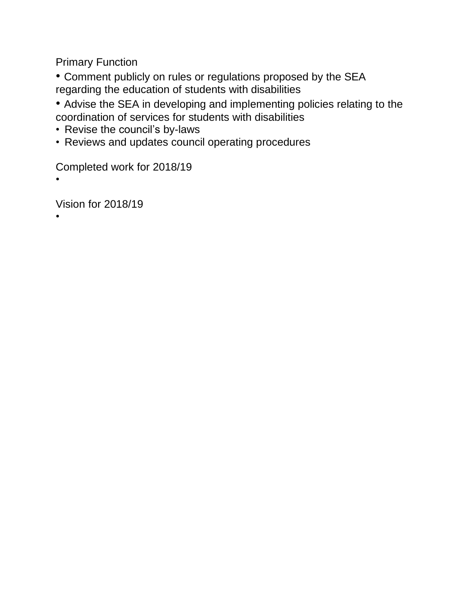Primary Function

• Comment publicly on rules or regulations proposed by the SEA regarding the education of students with disabilities

- Advise the SEA in developing and implementing policies relating to the coordination of services for students with disabilities
- Revise the council's by-laws
- Reviews and updates council operating procedures

Completed work for 2018/19

•

•

Vision for 2018/19